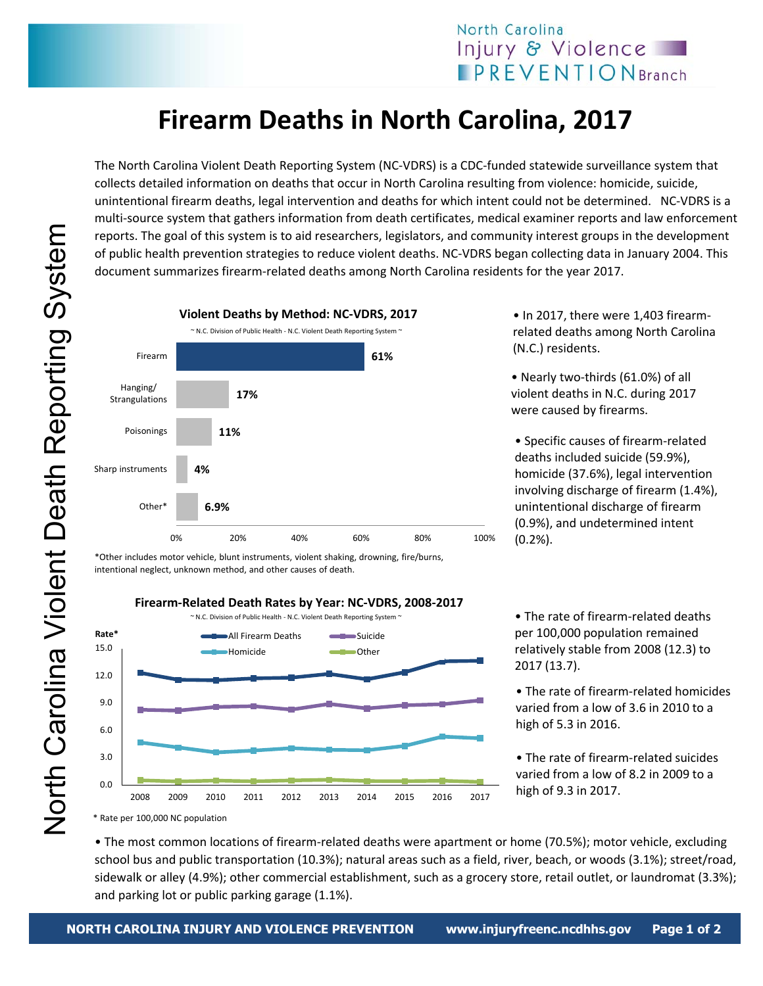## **Firearm Deaths in North Carolina, 2017**

The North Carolina Violent Death Reporting System (NC‐VDRS) is a CDC‐funded statewide surveillance system that collects detailed information on deaths that occur in North Carolina resulting from violence: homicide, suicide, unintentional firearm deaths, legal intervention and deaths for which intent could not be determined. NC‐VDRS is a multi-source system that gathers information from death certificates, medical examiner reports and law enforcement reports. The goal of this system is to aid researchers, legislators, and community interest groups in the development of public health prevention strategies to reduce violent deaths. NC‐VDRS began collecting data in January 2004. This document summarizes firearm‐related deaths among North Carolina residents for the year 2017.



\*Other includes motor vehicle, blunt instruments, violent shaking, drowning, fire/burns, intentional neglect, unknown method, and other causes of death.



• In 2017, there were 1,403 firearmrelated deaths among North Carolina (N.C.) residents.

• Nearly two‐thirds (61.0%) of all violent deaths in N.C. during 2017 were caused by firearms.

• Specific causes of firearm‐related deaths included suicide (59.9%), homicide (37.6%), legal intervention involving discharge of firearm (1.4%), unintentional discharge of firearm (0.9%), and undetermined intent (0.2%).

• The rate of firearm‐related deaths per 100,000 population remained relatively stable from 2008 (12.3) to 2017 (13.7).

- The rate of firearm‐related homicides varied from a low of 3.6 in 2010 to a high of 5.3 in 2016.
- The rate of firearm‐related suicides varied from a low of 8.2 in 2009 to a high of 9.3 in 2017.

• The most common locations of firearm‐related deaths were apartment or home (70.5%); motor vehicle, excluding school bus and public transportation (10.3%); natural areas such as a field, river, beach, or woods (3.1%); street/road, sidewalk or alley (4.9%); other commercial establishment, such as a grocery store, retail outlet, or laundromat (3.3%); and parking lot or public parking garage (1.1%).

North Carolina Violent Death Reporting System North Carolina Violent Death Reporting System